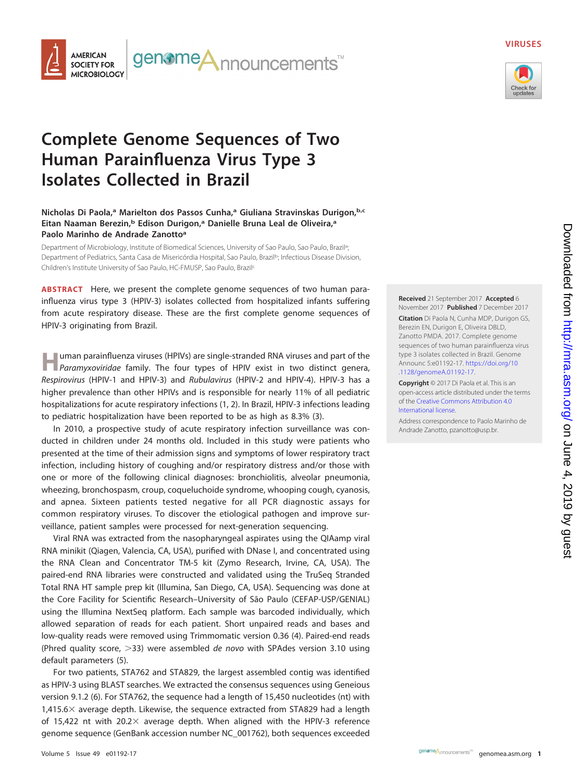

### **VIRUSES**



# **Complete Genome Sequences of Two Human Parainfluenza Virus Type 3 Isolates Collected in Brazil**

## **Nicholas Di Paola,a Marielton dos Passos Cunha,a Giuliana Stravinskas Durigon,b,c Eitan Naaman Berezin,b Edison Durigon,a Danielle Bruna Leal de Oliveira,a Paolo Marinho de Andrade Zanottoa**

Department of Microbiology, Institute of Biomedical Sciences, University of Sao Paulo, Sao Paulo, Brazila; ; Department of Pediatrics, Santa Casa de Misericórdia Hospital, Sao Paulo, Brazil<sup>b</sup>; Infectious Disease Division, Children's Institute University of Sao Paulo, HC-FMUSP, Sao Paulo, Brazilc

**ABSTRACT** Here, we present the complete genome sequences of two human parainfluenza virus type 3 (HPIV-3) isolates collected from hospitalized infants suffering from acute respiratory disease. These are the first complete genome sequences of HPIV-3 originating from Brazil.

**H**uman parainfluenza viruses (HPIVs) are single-stranded RNA viruses and part of the **Paramyxoviridae family.** The four types of HPIV exist in two distinct genera, Respirovirus (HPIV-1 and HPIV-3) and Rubulavirus (HPIV-2 and HPIV-4). HPIV-3 has a higher prevalence than other HPIVs and is responsible for nearly 11% of all pediatric hospitalizations for acute respiratory infections [\(1,](#page-1-0) [2\)](#page-1-1). In Brazil, HPIV-3 infections leading to pediatric hospitalization have been reported to be as high as 8.3% [\(3\)](#page-1-2).

In 2010, a prospective study of acute respiratory infection surveillance was conducted in children under 24 months old. Included in this study were patients who presented at the time of their admission signs and symptoms of lower respiratory tract infection, including history of coughing and/or respiratory distress and/or those with one or more of the following clinical diagnoses: bronchiolitis, alveolar pneumonia, wheezing, bronchospasm, croup, coqueluchoide syndrome, whooping cough, cyanosis, and apnea. Sixteen patients tested negative for all PCR diagnostic assays for common respiratory viruses. To discover the etiological pathogen and improve surveillance, patient samples were processed for next-generation sequencing.

Viral RNA was extracted from the nasopharyngeal aspirates using the QIAamp viral RNA minikit (Qiagen, Valencia, CA, USA), purified with DNase I, and concentrated using the RNA Clean and Concentrator TM-5 kit (Zymo Research, Irvine, CA, USA). The paired-end RNA libraries were constructed and validated using the TruSeq Stranded Total RNA HT sample prep kit (Illumina, San Diego, CA, USA). Sequencing was done at the Core Facility for Scientific Research–University of São Paulo (CEFAP-USP/GENIAL) using the Illumina NextSeq platform. Each sample was barcoded individually, which allowed separation of reads for each patient. Short unpaired reads and bases and low-quality reads were removed using Trimmomatic version 0.36 [\(4\)](#page-1-3). Paired-end reads (Phred quality score,  $>$ 33) were assembled de novo with SPAdes version 3.10 using default parameters [\(5\)](#page-1-4).

For two patients, STA762 and STA829, the largest assembled contig was identified as HPIV-3 using BLAST searches. We extracted the consensus sequences using Geneious version 9.1.2 [\(6\)](#page-1-5). For STA762, the sequence had a length of 15,450 nucleotides (nt) with  $1,415.6\times$  average depth. Likewise, the sequence extracted from STA829 had a length of 15,422 nt with 20.2 $\times$  average depth. When aligned with the HPIV-3 reference genome sequence (GenBank accession number NC\_001762), both sequences exceeded

**Received** 21 September 2017 **Accepted** 6 November 2017 **Published** 7 December 2017 **Citation** Di Paola N, Cunha MDP, Durigon GS, Berezin EN, Durigon E, Oliveira DBLD, Zanotto PMDA. 2017. Complete genome sequences of two human parainfluenza virus type 3 isolates collected in Brazil. Genome Announc 5:e01192-17. [https://doi.org/10](https://doi.org/10.1128/genomeA.01192-17) [.1128/genomeA.01192-17.](https://doi.org/10.1128/genomeA.01192-17)

**Copyright** © 2017 Di Paola et al. This is an open-access article distributed under the terms of the [Creative Commons Attribution 4.0](https://creativecommons.org/licenses/by/4.0/) [International](https://creativecommons.org/licenses/by/4.0/) license.

Address correspondence to Paolo Marinho de Andrade Zanotto, [pzanotto@usp.br.](mailto:pzanotto@usp.br)